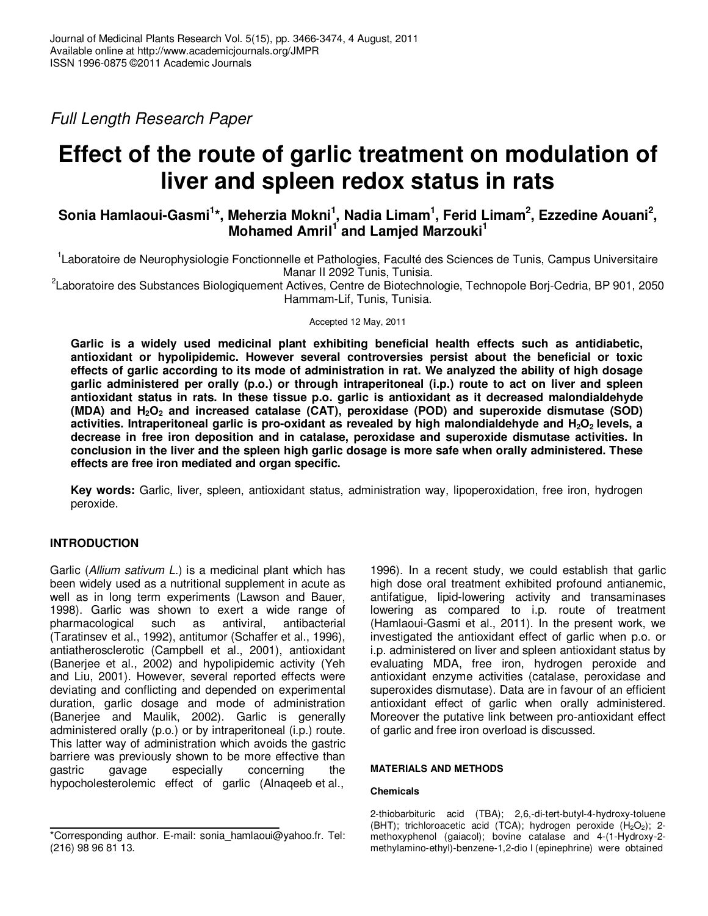Full Length Research Paper

# **Effect of the route of garlic treatment on modulation of liver and spleen redox status in rats**

# **Sonia Hamlaoui-Gasmi<sup>1</sup> \*, Meherzia Mokni<sup>1</sup> , Nadia Limam<sup>1</sup> , Ferid Limam<sup>2</sup> , Ezzedine Aouani<sup>2</sup> , Mohamed Amril<sup>1</sup> and Lamjed Marzouki<sup>1</sup>**

<sup>1</sup> Laboratoire de Neurophysiologie Fonctionnelle et Pathologies, Faculté des Sciences de Tunis, Campus Universitaire Manar II 2092 Tunis, Tunisia.

<sup>2</sup>Laboratoire des Substances Biologiquement Actives, Centre de Biotechnologie, Technopole Borj-Cedria, BP 901, 2050 Hammam-Lif, Tunis, Tunisia.

Accepted 12 May, 2011

**Garlic is a widely used medicinal plant exhibiting beneficial health effects such as antidiabetic, antioxidant or hypolipidemic. However several controversies persist about the beneficial or toxic effects of garlic according to its mode of administration in rat. We analyzed the ability of high dosage garlic administered per orally (p.o.) or through intraperitoneal (i.p.) route to act on liver and spleen antioxidant status in rats. In these tissue p.o. garlic is antioxidant as it decreased malondialdehyde (MDA) and H2O2 and increased catalase (CAT), peroxidase (POD) and superoxide dismutase (SOD) activities. Intraperitoneal garlic is pro-oxidant as revealed by high malondialdehyde and H2O2 levels, a decrease in free iron deposition and in catalase, peroxidase and superoxide dismutase activities. In conclusion in the liver and the spleen high garlic dosage is more safe when orally administered. These effects are free iron mediated and organ specific.** 

**Key words:** Garlic, liver, spleen, antioxidant status, administration way, lipoperoxidation, free iron, hydrogen peroxide.

## **INTRODUCTION**

Garlic (Allium sativum L.) is a medicinal plant which has been widely used as a nutritional supplement in acute as well as in long term experiments (Lawson and Bauer, 1998). Garlic was shown to exert a wide range of pharmacological such as antiviral, antibacterial (Taratinsev et al., 1992), antitumor (Schaffer et al., 1996), antiatherosclerotic (Campbell et al., 2001), antioxidant (Banerjee et al., 2002) and hypolipidemic activity (Yeh and Liu, 2001). However, several reported effects were deviating and conflicting and depended on experimental duration, garlic dosage and mode of administration (Banerjee and Maulik, 2002). Garlic is generally administered orally (p.o.) or by intraperitoneal (i.p.) route. This latter way of administration which avoids the gastric barriere was previously shown to be more effective than gastric gavage especially concerning the hypocholesterolemic effect of garlic (Alnaqeeb et al.,

1996). In a recent study, we could establish that garlic high dose oral treatment exhibited profound antianemic, antifatigue, lipid-lowering activity and transaminases lowering as compared to i.p. route of treatment (Hamlaoui-Gasmi et al., 2011). In the present work, we investigated the antioxidant effect of garlic when p.o. or i.p. administered on liver and spleen antioxidant status by evaluating MDA, free iron, hydrogen peroxide and antioxidant enzyme activities (catalase, peroxidase and superoxides dismutase). Data are in favour of an efficient antioxidant effect of garlic when orally administered. Moreover the putative link between pro-antioxidant effect of garlic and free iron overload is discussed.

## **MATERIALS AND METHODS**

## **Chemicals**

2-thiobarbituric acid (TBA); 2,6,-di-tert-butyl-4-hydroxy-toluene (BHT); trichloroacetic acid (TCA); hydrogen peroxide (H<sub>2</sub>O<sub>2</sub>); 2methoxyphenol (gaiacol); bovine catalase and 4-(1-Hydroxy-2 methylamino-ethyl)-benzene-1,2-dio l (epinephrine) were obtained

<sup>\*</sup>Corresponding author. E-mail: sonia\_hamlaoui@yahoo.fr. Tel: (216) 98 96 81 13.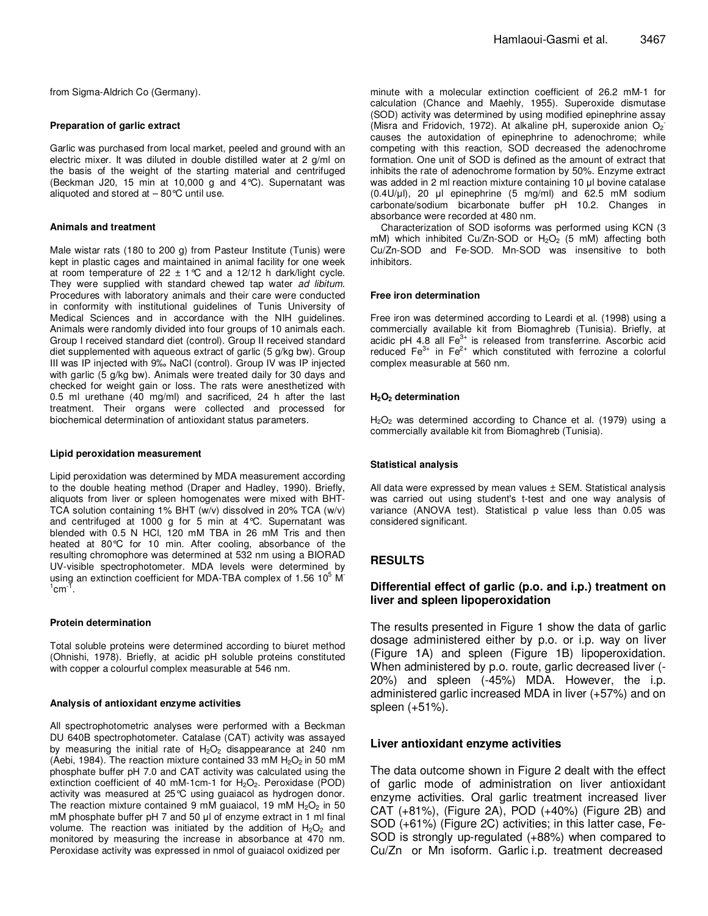from Sigma-Aldrich Co (Germany).

#### **Preparation of garlic extract**

Garlic was purchased from local market, peeled and ground with an electric mixer. It was diluted in double distilled water at 2 g/ml on the basis of the weight of the starting material and centrifuged (Beckman J20, 15 min at 10,000 g and 4°C). Supernatant was aliquoted and stored at  $-80^{\circ}$ C until use.

#### **Animals and treatment**

Male wistar rats (180 to 200 g) from Pasteur Institute (Tunis) were kept in plastic cages and maintained in animal facility for one week at room temperature of 22  $\pm$  1°C and a 12/12 h dark/light cycle. They were supplied with standard chewed tap water ad libitum. Procedures with laboratory animals and their care were conducted in conformity with institutional guidelines of Tunis University of Medical Sciences and in accordance with the NIH guidelines. Animals were randomly divided into four groups of 10 animals each. Group I received standard diet (control). Group II received standard diet supplemented with aqueous extract of garlic (5 g/kg bw). Group III was IP injected with 9‰ NaCl (control). Group IV was IP injected with garlic (5 g/kg bw). Animals were treated daily for 30 days and checked for weight gain or loss. The rats were anesthetized with 0.5 ml urethane (40 mg/ml) and sacrificed, 24 h after the last treatment. Their organs were collected and processed for biochemical determination of antioxidant status parameters.

#### **Lipid peroxidation measurement**

Lipid peroxidation was determined by MDA measurement according to the double heating method (Draper and Hadley, 1990). Briefly, aliquots from liver or spleen homogenates were mixed with BHT-TCA solution containing 1% BHT (w/v) dissolved in 20% TCA (w/v) and centrifuged at 1000 g for 5 min at 4°C. Supernatant was blended with 0.5 N HCl, 120 mM TBA in 26 mM Tris and then heated at 80°C for 10 min. After cooling, absorbance of the resulting chromophore was determined at 532 nm using a BIORAD UV-visible spectrophotometer. MDA levels were determined by using an extinction coefficient for MDA-TBA complex of 1.56 10<sup>5</sup> M<sup>-</sup>  $1$ cm $^{-1}$ .

#### **Protein determination**

Total soluble proteins were determined according to biuret method (Ohnishi, 1978). Briefly, at acidic pH soluble proteins constituted with copper a colourful complex measurable at 546 nm.

#### **Analysis of antioxidant enzyme activities**

All spectrophotometric analyses were performed with a Beckman DU 640B spectrophotometer. Catalase (CAT) activity was assayed by measuring the initial rate of  $H_2O_2$  disappearance at 240 nm (Aebi, 1984). The reaction mixture contained 33 mM  $H_2O_2$  in 50 mM phosphate buffer pH 7.0 and CAT activity was calculated using the extinction coefficient of 40 mM-1cm-1 for  $H_2O_2$ . Peroxidase (POD) activity was measured at 25°C using guaiacol as hydrogen donor. The reaction mixture contained 9 mM guaiacol, 19 mM  $H_2O_2$  in 50 mM phosphate buffer pH 7 and 50 µl of enzyme extract in 1 ml final volume. The reaction was initiated by the addition of  $H_2O_2$  and monitored by measuring the increase in absorbance at 470 nm. Peroxidase activity was expressed in nmol of guaiacol oxidized per

minute with a molecular extinction coefficient of 26.2 mM-1 for calculation (Chance and Maehly, 1955). Superoxide dismutase (SOD) activity was determined by using modified epinephrine assay (Misra and Fridovich, 1972). At alkaline pH, superoxide anion  $O_2$ causes the autoxidation of epinephrine to adenochrome; while competing with this reaction, SOD decreased the adenochrome formation. One unit of SOD is defined as the amount of extract that inhibits the rate of adenochrome formation by 50%. Enzyme extract was added in 2 ml reaction mixture containing 10 µl bovine catalase  $(0.4U/\mu l)$ , 20  $\mu l$  epinephrine  $(5 \text{ mg/ml})$  and 62.5 mM sodium carbonate/sodium bicarbonate buffer pH 10.2. Changes in absorbance were recorded at 480 nm.

Characterization of SOD isoforms was performed using KCN (3 mM) which inhibited Cu/Zn-SOD or  $H_2O_2$  (5 mM) affecting both Cu/Zn-SOD and Fe-SOD. Mn-SOD was insensitive to both inhibitors.

#### **Free iron determination**

Free iron was determined according to Leardi et al. (1998) using a commercially available kit from Biomaghreb (Tunisia). Briefly, at acidic pH 4.8 all  $\text{Fe}^{3+}$  is released from transferrine. Ascorbic acid reduced Fe $3+$  in Fe $2+$  which constituted with ferrozine a colorful complex measurable at 560 nm.

#### **H2O2 determination**

 $H<sub>2</sub>O<sub>2</sub>$  was determined according to Chance et al. (1979) using a commercially available kit from Biomaghreb (Tunisia).

#### **Statistical analysis**

All data were expressed by mean values ± SEM. Statistical analysis was carried out using student's t-test and one way analysis of variance (ANOVA test). Statistical p value less than 0.05 was considered significant.

## **RESULTS**

## **Differential effect of garlic (p.o. and i.p.) treatment on liver and spleen lipoperoxidation**

The results presented in Figure 1 show the data of garlic dosage administered either by p.o. or i.p. way on liver (Figure 1A) and spleen (Figure 1B) lipoperoxidation. When administered by p.o. route, garlic decreased liver (- 20%) and spleen (-45%) MDA. However, the i.p. administered garlic increased MDA in liver (+57%) and on spleen (+51%).

#### **Liver antioxidant enzyme activities**

The data outcome shown in Figure 2 dealt with the effect of garlic mode of administration on liver antioxidant enzyme activities. Oral garlic treatment increased liver CAT (+81%), (Figure 2A), POD (+40%) (Figure 2B) and SOD (+61%) (Figure 2C) activities; in this latter case, Fe-SOD is strongly up-regulated (+88%) when compared to Cu/Zn or Mn isoform. Garlic i.p. treatment decreased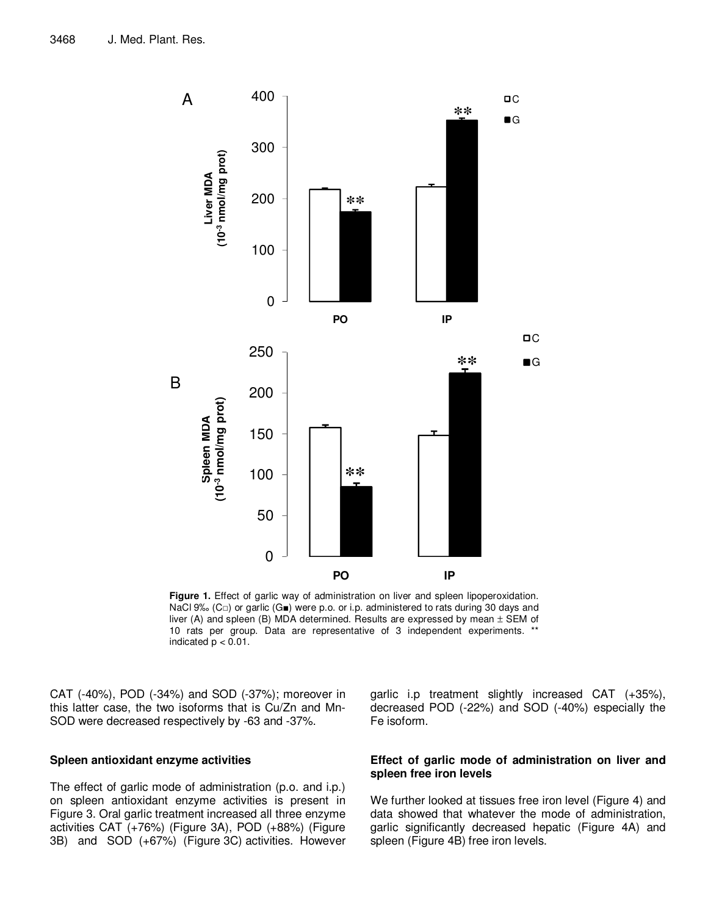

**Figure 1.** Effect of garlic way of administration on liver and spleen lipoperoxidation. NaCl 9‰ (C $\Box$ ) or garlic (G $\blacksquare$ ) were p.o. or i.p. administered to rats during 30 days and liver (A) and spleen (B) MDA determined. Results are expressed by mean  $\pm$  SEM of 10 rats per group. Data are representative of 3 independent experiments. \*\* indicated  $p < 0.01$ .

CAT (-40%), POD (-34%) and SOD (-37%); moreover in this latter case, the two isoforms that is Cu/Zn and Mn-SOD were decreased respectively by -63 and -37%.

## **Spleen antioxidant enzyme activities**

The effect of garlic mode of administration (p.o. and i.p.) on spleen antioxidant enzyme activities is present in Figure 3. Oral garlic treatment increased all three enzyme activities CAT (+76%) (Figure 3A), POD (+88%) (Figure 3B) and SOD (+67%) (Figure 3C) activities. However garlic i.p treatment slightly increased CAT (+35%), decreased POD (-22%) and SOD (-40%) especially the Fe isoform.

## **Effect of garlic mode of administration on liver and spleen free iron levels**

We further looked at tissues free iron level (Figure 4) and data showed that whatever the mode of administration, garlic significantly decreased hepatic (Figure 4A) and spleen (Figure 4B) free iron levels.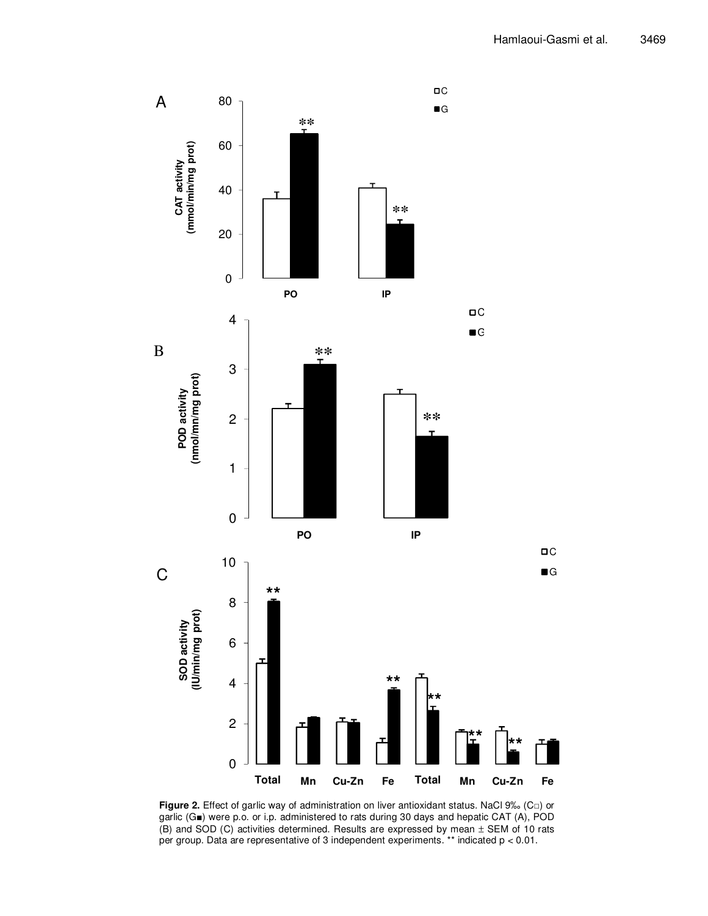

**Figure 2.** Effect of garlic way of administration on liver antioxidant status. NaCl 9‰ (C□) or garlic (G■) were p.o. or i.p. administered to rats during 30 days and hepatic CAT (A), POD (B) and SOD (C) activities determined. Results are expressed by mean ± SEM of 10 rats per group. Data are representative of 3 independent experiments. \*\* indicated p < 0.01.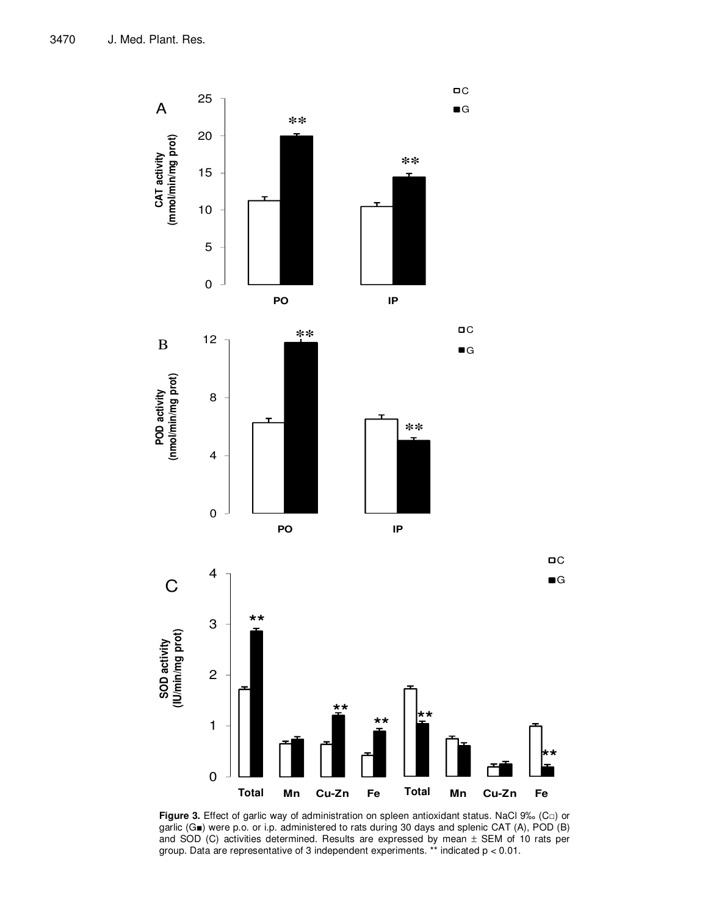



 $\Box$ 

**Figure 3.** Effect of garlic way of administration on spleen antioxidant status. NaCl 9‰ (C□) or garlic (G■) were p.o. or i.p. administered to rats during 30 days and splenic CAT (A), POD (B) and SOD (C) activities determined. Results are expressed by mean  $\pm$  SEM of 10 rats per group. Data are representative of 3 independent experiments. \*\* indicated p < 0.01.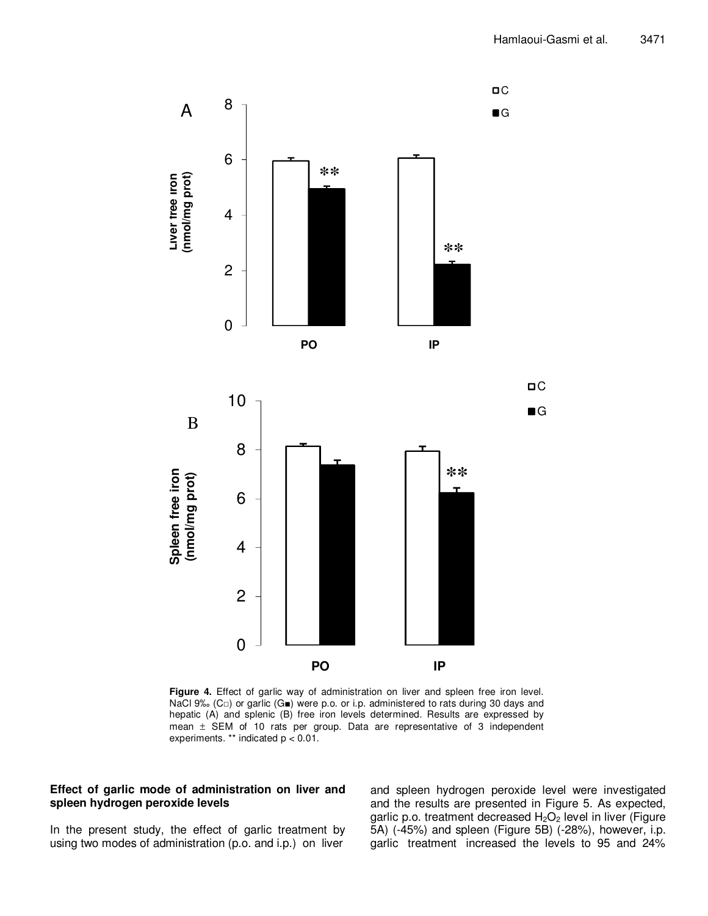

Figure 4. Effect of garlic way of administration on liver and spleen free iron level. NaCl 9‰ (Co) or garlic (G<sub>■</sub>) were p.o. or i.p. administered to rats during 30 days and hepatic (A) and splenic (B) free iron levels determined. Results are expressed by mean  $\pm$  SEM of 10 rats per group. Data are representative of 3 independent experiments. \*\* indicated p < 0.01.

## **Effect of garlic mode of administration on liver and spleen hydrogen peroxide levels**

In the present study, the effect of garlic treatment by using two modes of administration (p.o. and i.p.) on liver

and spleen hydrogen peroxide level were investigated and the results are presented in Figure 5. As expected, garlic p.o. treatment decreased  $H_2O_2$  level in liver (Figure 5A) (-45%) and spleen (Figure 5B) (-28%), however, i.p. garlic treatment increased the levels to 95 and 24%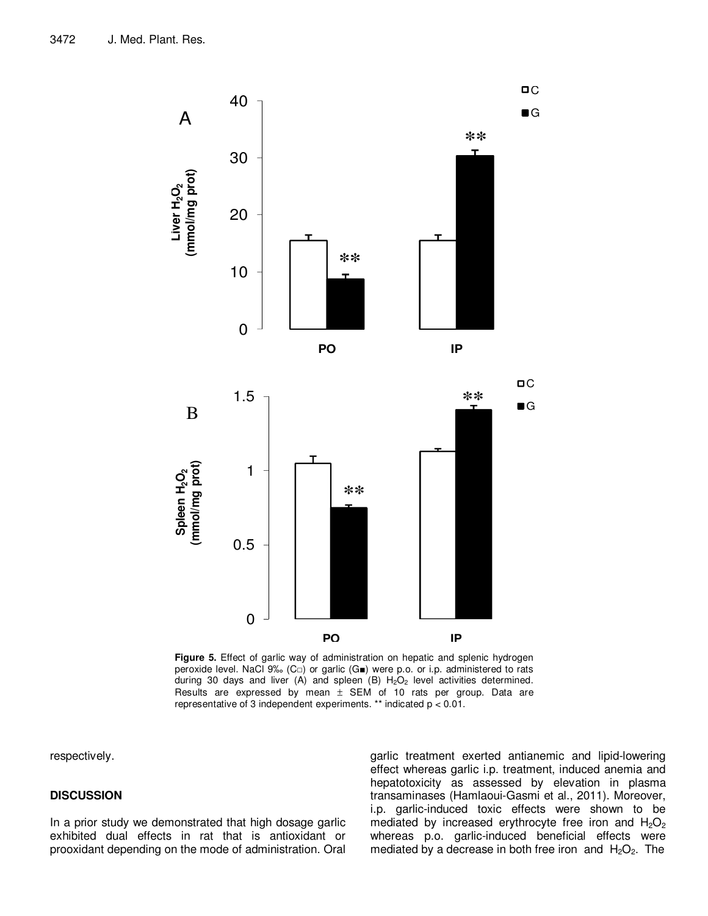

**Figure 5.** Effect of garlic way of administration on hepatic and splenic hydrogen peroxide level. NaCl 9‰ (Co) or garlic (G<sub>■</sub>) were p.o. or i.p. administered to rats during 30 days and liver (A) and spleen (B)  $H<sub>2</sub>O<sub>2</sub>$  level activities determined. Results are expressed by mean  $\pm$  SEM of 10 rats per group. Data are representative of 3 independent experiments. \*\* indicated p < 0.01.

respectively.

## **DISCUSSION**

In a prior study we demonstrated that high dosage garlic exhibited dual effects in rat that is antioxidant or prooxidant depending on the mode of administration. Oral garlic treatment exerted antianemic and lipid-lowering effect whereas garlic i.p. treatment, induced anemia and hepatotoxicity as assessed by elevation in plasma transaminases (Hamlaoui-Gasmi et al., 2011). Moreover, i.p. garlic-induced toxic effects were shown to be mediated by increased erythrocyte free iron and  $H_2O_2$ whereas p.o. garlic-induced beneficial effects were mediated by a decrease in both free iron and  $H_2O_2$ . The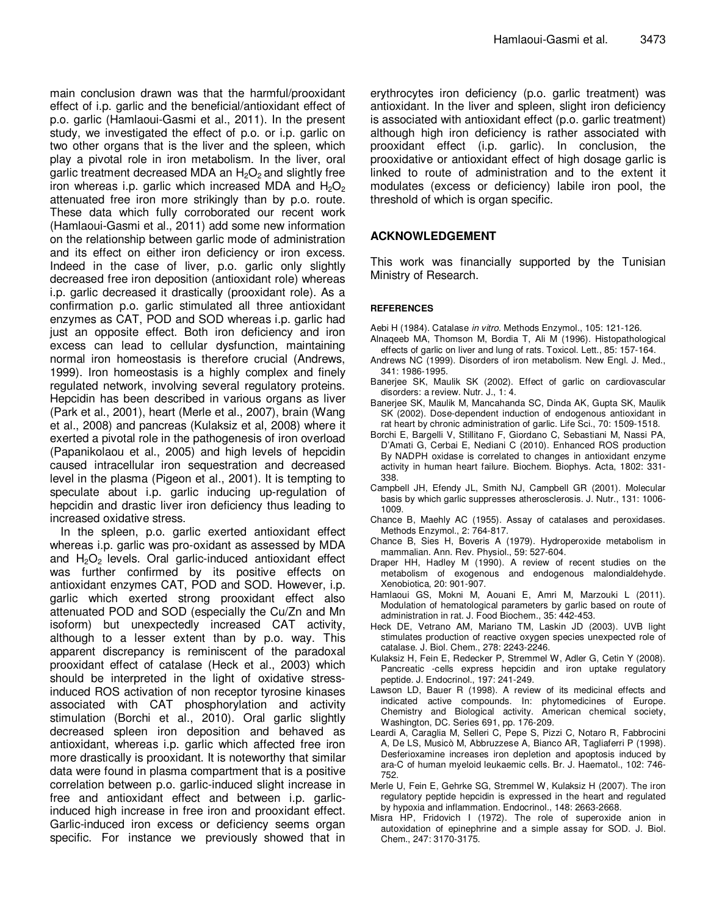main conclusion drawn was that the harmful/prooxidant effect of i.p. garlic and the beneficial/antioxidant effect of p.o. garlic (Hamlaoui-Gasmi et al., 2011). In the present study, we investigated the effect of p.o. or i.p. garlic on two other organs that is the liver and the spleen, which play a pivotal role in iron metabolism. In the liver, oral garlic treatment decreased MDA an  $H_2O_2$  and slightly free iron whereas i.p. garlic which increased MDA and  $H_2O_2$ attenuated free iron more strikingly than by p.o. route. These data which fully corroborated our recent work (Hamlaoui-Gasmi et al., 2011) add some new information on the relationship between garlic mode of administration and its effect on either iron deficiency or iron excess. Indeed in the case of liver, p.o. garlic only slightly decreased free iron deposition (antioxidant role) whereas i.p. garlic decreased it drastically (prooxidant role). As a confirmation p.o. garlic stimulated all three antioxidant enzymes as CAT, POD and SOD whereas i.p. garlic had just an opposite effect. Both iron deficiency and iron excess can lead to cellular dysfunction, maintaining normal iron homeostasis is therefore crucial (Andrews, 1999). Iron homeostasis is a highly complex and finely regulated network, involving several regulatory proteins. Hepcidin has been described in various organs as liver (Park et al., 2001), heart (Merle et al., 2007), brain (Wang et al., 2008) and pancreas (Kulaksiz et al, 2008) where it exerted a pivotal role in the pathogenesis of iron overload (Papanikolaou et al., 2005) and high levels of hepcidin caused intracellular iron sequestration and decreased level in the plasma (Pigeon et al., 2001). It is tempting to speculate about i.p. garlic inducing up-regulation of hepcidin and drastic liver iron deficiency thus leading to increased oxidative stress.

In the spleen, p.o. garlic exerted antioxidant effect whereas i.p. garlic was pro-oxidant as assessed by MDA and  $H_2O_2$  levels. Oral garlic-induced antioxidant effect was further confirmed by its positive effects on antioxidant enzymes CAT, POD and SOD. However, i.p. garlic which exerted strong prooxidant effect also attenuated POD and SOD (especially the Cu/Zn and Mn isoform) but unexpectedly increased CAT activity, although to a lesser extent than by p.o. way. This apparent discrepancy is reminiscent of the paradoxal prooxidant effect of catalase (Heck et al., 2003) which should be interpreted in the light of oxidative stressinduced ROS activation of non receptor tyrosine kinases associated with CAT phosphorylation and activity stimulation (Borchi et al., 2010). Oral garlic slightly decreased spleen iron deposition and behaved as antioxidant, whereas i.p. garlic which affected free iron more drastically is prooxidant. It is noteworthy that similar data were found in plasma compartment that is a positive correlation between p.o. garlic-induced slight increase in free and antioxidant effect and between i.p. garlicinduced high increase in free iron and prooxidant effect. Garlic-induced iron excess or deficiency seems organ specific. For instance we previously showed that in erythrocytes iron deficiency (p.o. garlic treatment) was antioxidant. In the liver and spleen, slight iron deficiency is associated with antioxidant effect (p.o. garlic treatment) although high iron deficiency is rather associated with prooxidant effect (i.p. garlic). In conclusion, the prooxidative or antioxidant effect of high dosage garlic is linked to route of administration and to the extent it modulates (excess or deficiency) labile iron pool, the threshold of which is organ specific.

## **ACKNOWLEDGEMENT**

This work was financially supported by the Tunisian Ministry of Research.

## **REFERENCES**

- Aebi H (1984). Catalase in vitro. Methods Enzymol., 105: 121-126.
- Alnaqeeb MA, Thomson M, Bordia T, Ali M (1996). Histopathological effects of garlic on liver and lung of rats. Toxicol. Lett., 85: 157-164.
- Andrews NC (1999). Disorders of iron metabolism. New Engl. J. Med., 341: 1986-1995.
- Banerjee SK, Maulik SK (2002). Effect of garlic on cardiovascular disorders: a review. Nutr. J., 1: 4.
- Banerjee SK, Maulik M, Mancahanda SC, Dinda AK, Gupta SK, Maulik SK (2002). Dose-dependent induction of endogenous antioxidant in rat heart by chronic administration of garlic. Life Sci., 70: 1509-1518.
- Borchi E, Bargelli V, Stillitano F, Giordano C, Sebastiani M, Nassi PA, D'Amati G, Cerbai E, Nediani C (2010). Enhanced ROS production By NADPH oxidase is correlated to changes in antioxidant enzyme activity in human heart failure. Biochem. Biophys. Acta, 1802: 331- 338.
- Campbell JH, Efendy JL, Smith NJ, Campbell GR (2001). Molecular basis by which garlic suppresses atherosclerosis. J. Nutr., 131: 1006- 1009.
- Chance B, Maehly AC (1955). Assay of catalases and peroxidases. Methods Enzymol., 2: 764-817.
- Chance B, Sies H, Boveris A (1979). Hydroperoxide metabolism in mammalian. Ann. Rev. Physiol., 59: 527-604.
- Draper HH, Hadley M (1990). A review of recent studies on the metabolism of exogenous and endogenous malondialdehyde. Xenobiotica, 20: 901-907.
- Hamlaoui GS, Mokni M, Aouani E, Amri M, Marzouki L (2011). Modulation of hematological parameters by garlic based on route of administration in rat. J. Food Biochem., 35: 442-453.
- Heck DE, Vetrano AM, Mariano TM, Laskin JD (2003). UVB light stimulates production of reactive oxygen species unexpected role of catalase. J. Biol. Chem., 278: 2243-2246.
- Kulaksiz H, Fein E, Redecker P, Stremmel W, Adler G, Cetin Y (2008). Pancreatic -cells express hepcidin and iron uptake regulatory peptide. J. Endocrinol., 197: 241-249.
- Lawson LD, Bauer R (1998). A review of its medicinal effects and indicated active compounds. In: phytomedicines of Europe. Chemistry and Biological activity. American chemical society, Washington, DC. Series 691, pp. 176-209.
- Leardi A, Caraglia M, Selleri C, Pepe S, Pizzi C, Notaro R, Fabbrocini A, De LS, Musicò M, Abbruzzese A, Bianco AR, Tagliaferri P (1998). Desferioxamine increases iron depletion and apoptosis induced by ara-C of human myeloid leukaemic cells. Br. J. Haematol., 102: 746- 752.
- Merle U, Fein E, Gehrke SG, Stremmel W, Kulaksiz H (2007). The iron regulatory peptide hepcidin is expressed in the heart and regulated by hypoxia and inflammation. Endocrinol., 148: 2663-2668.
- Misra HP, Fridovich I (1972). The role of superoxide anion in autoxidation of epinephrine and a simple assay for SOD. J. Biol. Chem., 247: 3170-3175.